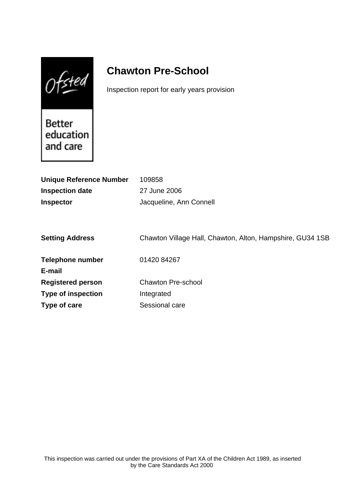$0$ fsted

# **Chawton Pre-School**

Inspection report for early years provision

Better education and care

| <b>Unique Reference Number</b> | 109858                                                    |
|--------------------------------|-----------------------------------------------------------|
| <b>Inspection date</b>         | 27 June 2006                                              |
| <b>Inspector</b>               | Jacqueline, Ann Connell                                   |
|                                |                                                           |
|                                |                                                           |
| <b>Setting Address</b>         | Chawton Village Hall, Chawton, Alton, Hampshire, GU34 1SB |
|                                |                                                           |
| <b>Telephone number</b>        | 01420 84267                                               |
| E-mail                         |                                                           |
| <b>Registered person</b>       | <b>Chawton Pre-school</b>                                 |
| <b>Type of inspection</b>      | Integrated                                                |
| Type of care                   | Sessional care                                            |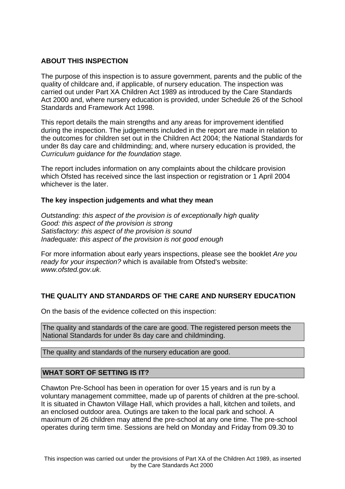# **ABOUT THIS INSPECTION**

The purpose of this inspection is to assure government, parents and the public of the quality of childcare and, if applicable, of nursery education. The inspection was carried out under Part XA Children Act 1989 as introduced by the Care Standards Act 2000 and, where nursery education is provided, under Schedule 26 of the School Standards and Framework Act 1998.

This report details the main strengths and any areas for improvement identified during the inspection. The judgements included in the report are made in relation to the outcomes for children set out in the Children Act 2004; the National Standards for under 8s day care and childminding; and, where nursery education is provided, the Curriculum guidance for the foundation stage.

The report includes information on any complaints about the childcare provision which Ofsted has received since the last inspection or registration or 1 April 2004 whichever is the later.

### **The key inspection judgements and what they mean**

Outstanding: this aspect of the provision is of exceptionally high quality Good: this aspect of the provision is strong Satisfactory: this aspect of the provision is sound Inadequate: this aspect of the provision is not good enough

For more information about early years inspections, please see the booklet Are you ready for your inspection? which is available from Ofsted's website: www.ofsted.gov.uk.

### **THE QUALITY AND STANDARDS OF THE CARE AND NURSERY EDUCATION**

On the basis of the evidence collected on this inspection:

The quality and standards of the care are good. The registered person meets the National Standards for under 8s day care and childminding.

The quality and standards of the nursery education are good.

### **WHAT SORT OF SETTING IS IT?**

Chawton Pre-School has been in operation for over 15 years and is run by a voluntary management committee, made up of parents of children at the pre-school. It is situated in Chawton Village Hall, which provides a hall, kitchen and toilets, and an enclosed outdoor area. Outings are taken to the local park and school. A maximum of 26 children may attend the pre-school at any one time. The pre-school operates during term time. Sessions are held on Monday and Friday from 09.30 to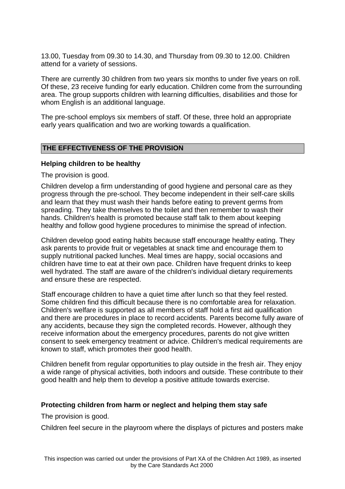13.00, Tuesday from 09.30 to 14.30, and Thursday from 09.30 to 12.00. Children attend for a variety of sessions.

There are currently 30 children from two years six months to under five years on roll. Of these, 23 receive funding for early education. Children come from the surrounding area. The group supports children with learning difficulties, disabilities and those for whom English is an additional language.

The pre-school employs six members of staff. Of these, three hold an appropriate early years qualification and two are working towards a qualification.

### **THE EFFECTIVENESS OF THE PROVISION**

#### **Helping children to be healthy**

The provision is good.

Children develop a firm understanding of good hygiene and personal care as they progress through the pre-school. They become independent in their self-care skills and learn that they must wash their hands before eating to prevent germs from spreading. They take themselves to the toilet and then remember to wash their hands. Children's health is promoted because staff talk to them about keeping healthy and follow good hygiene procedures to minimise the spread of infection.

Children develop good eating habits because staff encourage healthy eating. They ask parents to provide fruit or vegetables at snack time and encourage them to supply nutritional packed lunches. Meal times are happy, social occasions and children have time to eat at their own pace. Children have frequent drinks to keep well hydrated. The staff are aware of the children's individual dietary requirements and ensure these are respected.

Staff encourage children to have a quiet time after lunch so that they feel rested. Some children find this difficult because there is no comfortable area for relaxation. Children's welfare is supported as all members of staff hold a first aid qualification and there are procedures in place to record accidents. Parents become fully aware of any accidents, because they sign the completed records. However, although they receive information about the emergency procedures, parents do not give written consent to seek emergency treatment or advice. Children's medical requirements are known to staff, which promotes their good health.

Children benefit from regular opportunities to play outside in the fresh air. They enjoy a wide range of physical activities, both indoors and outside. These contribute to their good health and help them to develop a positive attitude towards exercise.

### **Protecting children from harm or neglect and helping them stay safe**

The provision is good.

Children feel secure in the playroom where the displays of pictures and posters make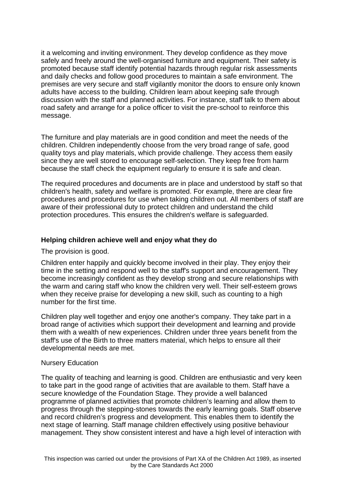it a welcoming and inviting environment. They develop confidence as they move safely and freely around the well-organised furniture and equipment. Their safety is promoted because staff identify potential hazards through regular risk assessments and daily checks and follow good procedures to maintain a safe environment. The premises are very secure and staff vigilantly monitor the doors to ensure only known adults have access to the building. Children learn about keeping safe through discussion with the staff and planned activities. For instance, staff talk to them about road safety and arrange for a police officer to visit the pre-school to reinforce this message.

The furniture and play materials are in good condition and meet the needs of the children. Children independently choose from the very broad range of safe, good quality toys and play materials, which provide challenge. They access them easily since they are well stored to encourage self-selection. They keep free from harm because the staff check the equipment regularly to ensure it is safe and clean.

The required procedures and documents are in place and understood by staff so that children's health, safety and welfare is promoted. For example, there are clear fire procedures and procedures for use when taking children out. All members of staff are aware of their professional duty to protect children and understand the child protection procedures. This ensures the children's welfare is safeguarded.

### **Helping children achieve well and enjoy what they do**

The provision is good.

Children enter happily and quickly become involved in their play. They enjoy their time in the setting and respond well to the staff's support and encouragement. They become increasingly confident as they develop strong and secure relationships with the warm and caring staff who know the children very well. Their self-esteem grows when they receive praise for developing a new skill, such as counting to a high number for the first time.

Children play well together and enjoy one another's company. They take part in a broad range of activities which support their development and learning and provide them with a wealth of new experiences. Children under three years benefit from the staff's use of the Birth to three matters material, which helps to ensure all their developmental needs are met.

#### Nursery Education

The quality of teaching and learning is good. Children are enthusiastic and very keen to take part in the good range of activities that are available to them. Staff have a secure knowledge of the Foundation Stage. They provide a well balanced programme of planned activities that promote children's learning and allow them to progress through the stepping-stones towards the early learning goals. Staff observe and record children's progress and development. This enables them to identify the next stage of learning. Staff manage children effectively using positive behaviour management. They show consistent interest and have a high level of interaction with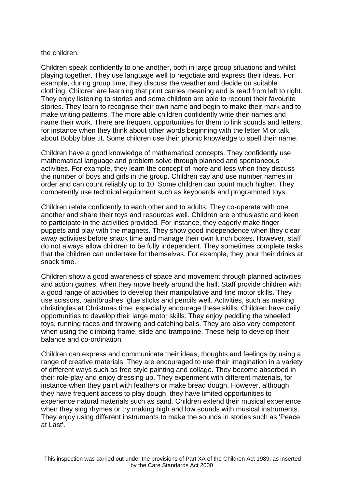#### the children.

Children speak confidently to one another, both in large group situations and whilst playing together. They use language well to negotiate and express their ideas. For example, during group time, they discuss the weather and decide on suitable clothing. Children are learning that print carries meaning and is read from left to right. They enjoy listening to stories and some children are able to recount their favourite stories. They learn to recognise their own name and begin to make their mark and to make writing patterns. The more able children confidently write their names and name their work. There are frequent opportunities for them to link sounds and letters, for instance when they think about other words beginning with the letter M or talk about Bobby blue tit. Some children use their phonic knowledge to spell their name.

Children have a good knowledge of mathematical concepts. They confidently use mathematical language and problem solve through planned and spontaneous activities. For example, they learn the concept of more and less when they discuss the number of boys and girls in the group. Children say and use number names in order and can count reliably up to 10. Some children can count much higher. They competently use technical equipment such as keyboards and programmed toys.

Children relate confidently to each other and to adults. They co-operate with one another and share their toys and resources well. Children are enthusiastic and keen to participate in the activities provided. For instance, they eagerly make finger puppets and play with the magnets. They show good independence when they clear away activities before snack time and manage their own lunch boxes. However, staff do not always allow children to be fully independent. They sometimes complete tasks that the children can undertake for themselves. For example, they pour their drinks at snack time.

Children show a good awareness of space and movement through planned activities and action games, when they move freely around the hall. Staff provide children with a good range of activities to develop their manipulative and fine motor skills. They use scissors, paintbrushes, glue sticks and pencils well. Activities, such as making christingles at Christmas time, especially encourage these skills. Children have daily opportunities to develop their large motor skills. They enjoy peddling the wheeled toys, running races and throwing and catching balls. They are also very competent when using the climbing frame, slide and trampoline. These help to develop their balance and co-ordination.

Children can express and communicate their ideas, thoughts and feelings by using a range of creative materials. They are encouraged to use their imagination in a variety of different ways such as free style painting and collage. They become absorbed in their role-play and enjoy dressing up. They experiment with different materials, for instance when they paint with feathers or make bread dough. However, although they have frequent access to play dough, they have limited opportunities to experience natural materials such as sand. Children extend their musical experience when they sing rhymes or try making high and low sounds with musical instruments. They enjoy using different instruments to make the sounds in stories such as 'Peace at Last'.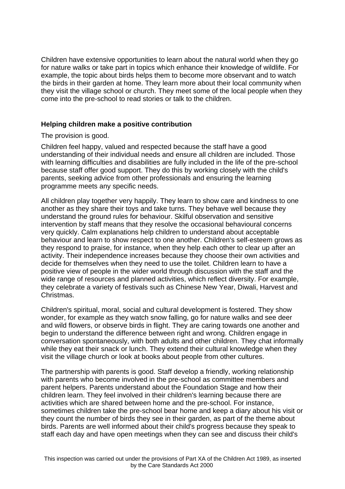Children have extensive opportunities to learn about the natural world when they go for nature walks or take part in topics which enhance their knowledge of wildlife. For example, the topic about birds helps them to become more observant and to watch the birds in their garden at home. They learn more about their local community when they visit the village school or church. They meet some of the local people when they come into the pre-school to read stories or talk to the children.

### **Helping children make a positive contribution**

The provision is good.

Children feel happy, valued and respected because the staff have a good understanding of their individual needs and ensure all children are included. Those with learning difficulties and disabilities are fully included in the life of the pre-school because staff offer good support. They do this by working closely with the child's parents, seeking advice from other professionals and ensuring the learning programme meets any specific needs.

All children play together very happily. They learn to show care and kindness to one another as they share their toys and take turns. They behave well because they understand the ground rules for behaviour. Skilful observation and sensitive intervention by staff means that they resolve the occasional behavioural concerns very quickly. Calm explanations help children to understand about acceptable behaviour and learn to show respect to one another. Children's self-esteem grows as they respond to praise, for instance, when they help each other to clear up after an activity. Their independence increases because they choose their own activities and decide for themselves when they need to use the toilet. Children learn to have a positive view of people in the wider world through discussion with the staff and the wide range of resources and planned activities, which reflect diversity. For example, they celebrate a variety of festivals such as Chinese New Year, Diwali, Harvest and Christmas.

Children's spiritual, moral, social and cultural development is fostered. They show wonder, for example as they watch snow falling, go for nature walks and see deer and wild flowers, or observe birds in flight. They are caring towards one another and begin to understand the difference between right and wrong. Children engage in conversation spontaneously, with both adults and other children. They chat informally while they eat their snack or lunch. They extend their cultural knowledge when they visit the village church or look at books about people from other cultures.

The partnership with parents is good. Staff develop a friendly, working relationship with parents who become involved in the pre-school as committee members and parent helpers. Parents understand about the Foundation Stage and how their children learn. They feel involved in their children's learning because there are activities which are shared between home and the pre-school. For instance, sometimes children take the pre-school bear home and keep a diary about his visit or they count the number of birds they see in their garden, as part of the theme about birds. Parents are well informed about their child's progress because they speak to staff each day and have open meetings when they can see and discuss their child's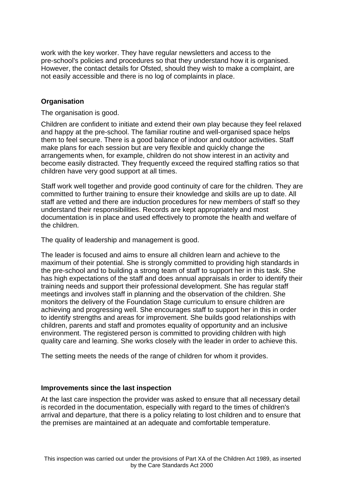work with the key worker. They have regular newsletters and access to the pre-school's policies and procedures so that they understand how it is organised. However, the contact details for Ofsted, should they wish to make a complaint, are not easily accessible and there is no log of complaints in place.

# **Organisation**

The organisation is good.

Children are confident to initiate and extend their own play because they feel relaxed and happy at the pre-school. The familiar routine and well-organised space helps them to feel secure. There is a good balance of indoor and outdoor activities. Staff make plans for each session but are very flexible and quickly change the arrangements when, for example, children do not show interest in an activity and become easily distracted. They frequently exceed the required staffing ratios so that children have very good support at all times.

Staff work well together and provide good continuity of care for the children. They are committed to further training to ensure their knowledge and skills are up to date. All staff are vetted and there are induction procedures for new members of staff so they understand their responsibilities. Records are kept appropriately and most documentation is in place and used effectively to promote the health and welfare of the children.

The quality of leadership and management is good.

The leader is focused and aims to ensure all children learn and achieve to the maximum of their potential. She is strongly committed to providing high standards in the pre-school and to building a strong team of staff to support her in this task. She has high expectations of the staff and does annual appraisals in order to identify their training needs and support their professional development. She has regular staff meetings and involves staff in planning and the observation of the children. She monitors the delivery of the Foundation Stage curriculum to ensure children are achieving and progressing well. She encourages staff to support her in this in order to identify strengths and areas for improvement. She builds good relationships with children, parents and staff and promotes equality of opportunity and an inclusive environment. The registered person is committed to providing children with high quality care and learning. She works closely with the leader in order to achieve this.

The setting meets the needs of the range of children for whom it provides.

### **Improvements since the last inspection**

At the last care inspection the provider was asked to ensure that all necessary detail is recorded in the documentation, especially with regard to the times of children's arrival and departure, that there is a policy relating to lost children and to ensure that the premises are maintained at an adequate and comfortable temperature.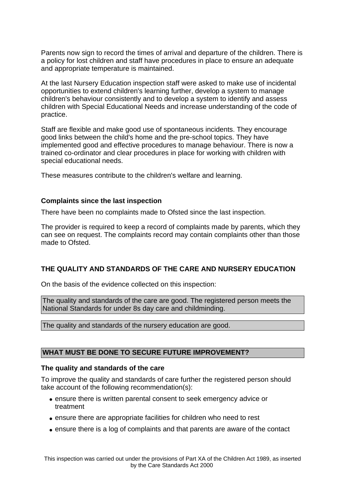Parents now sign to record the times of arrival and departure of the children. There is a policy for lost children and staff have procedures in place to ensure an adequate and appropriate temperature is maintained.

At the last Nursery Education inspection staff were asked to make use of incidental opportunities to extend children's learning further, develop a system to manage children's behaviour consistently and to develop a system to identify and assess children with Special Educational Needs and increase understanding of the code of practice.

Staff are flexible and make good use of spontaneous incidents. They encourage good links between the child's home and the pre-school topics. They have implemented good and effective procedures to manage behaviour. There is now a trained co-ordinator and clear procedures in place for working with children with special educational needs.

These measures contribute to the children's welfare and learning.

#### **Complaints since the last inspection**

There have been no complaints made to Ofsted since the last inspection.

The provider is required to keep a record of complaints made by parents, which they can see on request. The complaints record may contain complaints other than those made to Ofsted.

### **THE QUALITY AND STANDARDS OF THE CARE AND NURSERY EDUCATION**

On the basis of the evidence collected on this inspection:

The quality and standards of the care are good. The registered person meets the National Standards for under 8s day care and childminding.

The quality and standards of the nursery education are good.

### **WHAT MUST BE DONE TO SECURE FUTURE IMPROVEMENT?**

### **The quality and standards of the care**

To improve the quality and standards of care further the registered person should take account of the following recommendation(s):

- ensure there is written parental consent to seek emergency advice or treatment
- ensure there are appropriate facilities for children who need to rest
- ensure there is a log of complaints and that parents are aware of the contact